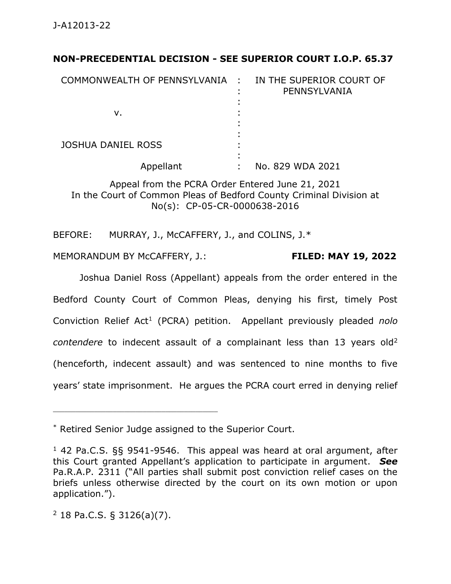# **NON-PRECEDENTIAL DECISION - SEE SUPERIOR COURT I.O.P. 65.37**

| COMMONWEALTH OF PENNSYLVANIA : |   | IN THE SUPERIOR COURT OF<br>PENNSYLVANIA |
|--------------------------------|---|------------------------------------------|
|                                |   |                                          |
| ν.                             |   |                                          |
|                                |   |                                          |
|                                |   |                                          |
| <b>JOSHUA DANIEL ROSS</b>      |   |                                          |
|                                |   |                                          |
| Appellant                      | ٠ | No. 829 WDA 2021                         |

Appeal from the PCRA Order Entered June 21, 2021 In the Court of Common Pleas of Bedford County Criminal Division at No(s): CP-05-CR-0000638-2016

BEFORE: MURRAY, J., McCAFFERY, J., and COLINS, J.\*

MEMORANDUM BY McCAFFERY, J.: **FILED: MAY 19, 2022**

Joshua Daniel Ross (Appellant) appeals from the order entered in the Bedford County Court of Common Pleas, denying his first, timely Post Conviction Relief Act<sup>1</sup> (PCRA) petition. Appellant previously pleaded *nolo contendere* to indecent assault of a complainant less than 13 years old<sup>2</sup> (henceforth, indecent assault) and was sentenced to nine months to five years' state imprisonment. He argues the PCRA court erred in denying relief

 $2$  18 Pa.C.S. § 3126(a)(7).

<sup>\*</sup> Retired Senior Judge assigned to the Superior Court.

<sup>1</sup> 42 Pa.C.S. §§ 9541-9546. This appeal was heard at oral argument, after this Court granted Appellant's application to participate in argument. *See*  Pa.R.A.P. 2311 ("All parties shall submit post conviction relief cases on the briefs unless otherwise directed by the court on its own motion or upon application.").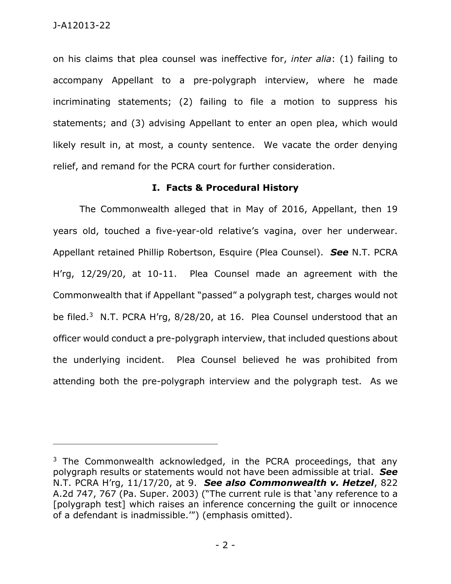on his claims that plea counsel was ineffective for, *inter alia*: (1) failing to accompany Appellant to a pre-polygraph interview, where he made incriminating statements; (2) failing to file a motion to suppress his statements; and (3) advising Appellant to enter an open plea, which would likely result in, at most, a county sentence. We vacate the order denying relief, and remand for the PCRA court for further consideration.

## **I. Facts & Procedural History**

The Commonwealth alleged that in May of 2016, Appellant, then 19 years old, touched a five-year-old relative's vagina, over her underwear. Appellant retained Phillip Robertson, Esquire (Plea Counsel). *See* N.T. PCRA H'rg, 12/29/20, at 10-11. Plea Counsel made an agreement with the Commonwealth that if Appellant "passed" a polygraph test, charges would not be filed.<sup>3</sup> N.T. PCRA H'rg, 8/28/20, at 16. Plea Counsel understood that an officer would conduct a pre-polygraph interview, that included questions about the underlying incident. Plea Counsel believed he was prohibited from attending both the pre-polygraph interview and the polygraph test. As we

<sup>&</sup>lt;sup>3</sup> The Commonwealth acknowledged, in the PCRA proceedings, that any polygraph results or statements would not have been admissible at trial. *See*  N.T. PCRA H'rg, 11/17/20, at 9. *See also Commonwealth v. Hetzel*, 822 A.2d 747, 767 (Pa. Super. 2003) ("The current rule is that 'any reference to a [polygraph test] which raises an inference concerning the guilt or innocence of a defendant is inadmissible.'") (emphasis omitted).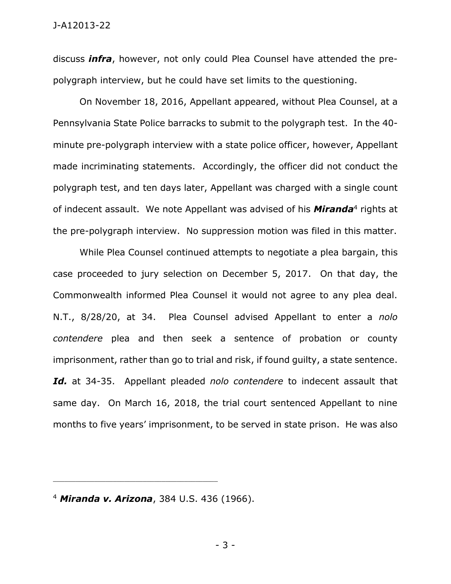#### J-A12013-22

discuss *infra*, however, not only could Plea Counsel have attended the prepolygraph interview, but he could have set limits to the questioning.

On November 18, 2016, Appellant appeared, without Plea Counsel, at a Pennsylvania State Police barracks to submit to the polygraph test. In the 40 minute pre-polygraph interview with a state police officer, however, Appellant made incriminating statements. Accordingly, the officer did not conduct the polygraph test, and ten days later, Appellant was charged with a single count of indecent assault. We note Appellant was advised of his **Miranda**<sup>4</sup> rights at the pre-polygraph interview. No suppression motion was filed in this matter.

While Plea Counsel continued attempts to negotiate a plea bargain, this case proceeded to jury selection on December 5, 2017. On that day, the Commonwealth informed Plea Counsel it would not agree to any plea deal. N.T., 8/28/20, at 34. Plea Counsel advised Appellant to enter a *nolo contendere* plea and then seek a sentence of probation or county imprisonment, rather than go to trial and risk, if found guilty, a state sentence. *Id.* at 34-35. Appellant pleaded *nolo contendere* to indecent assault that same day. On March 16, 2018, the trial court sentenced Appellant to nine months to five years' imprisonment, to be served in state prison. He was also

<sup>4</sup> *Miranda v. Arizona*, 384 U.S. 436 (1966).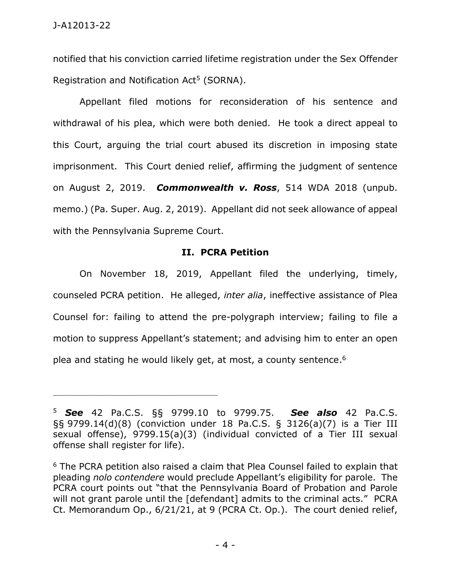notified that his conviction carried lifetime registration under the Sex Offender Registration and Notification  $Act<sup>5</sup>$  (SORNA).

Appellant filed motions for reconsideration of his sentence and withdrawal of his plea, which were both denied. He took a direct appeal to this Court, arguing the trial court abused its discretion in imposing state imprisonment. This Court denied relief, affirming the judgment of sentence on August 2, 2019. *Commonwealth v. Ross*, 514 WDA 2018 (unpub. memo.) (Pa. Super. Aug. 2, 2019). Appellant did not seek allowance of appeal with the Pennsylvania Supreme Court.

## **II. PCRA Petition**

On November 18, 2019, Appellant filed the underlying, timely, counseled PCRA petition. He alleged, *inter alia*, ineffective assistance of Plea Counsel for: failing to attend the pre-polygraph interview; failing to file a motion to suppress Appellant's statement; and advising him to enter an open plea and stating he would likely get, at most, a county sentence. 6

<sup>5</sup> *See* 42 Pa.C.S. §§ 9799.10 to 9799.75. *See also* 42 Pa.C.S. §§ 9799.14(d)(8) (conviction under 18 Pa.C.S. § 3126(a)(7) is a Tier III sexual offense), 9799.15(a)(3) (individual convicted of a Tier III sexual offense shall register for life).

 $6$  The PCRA petition also raised a claim that Plea Counsel failed to explain that pleading *nolo contendere* would preclude Appellant's eligibility for parole. The PCRA court points out "that the Pennsylvania Board of Probation and Parole will not grant parole until the [defendant] admits to the criminal acts." PCRA Ct. Memorandum Op., 6/21/21, at 9 (PCRA Ct. Op.). The court denied relief,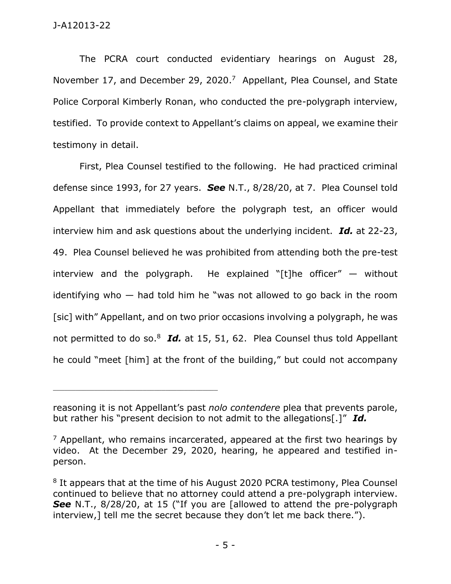The PCRA court conducted evidentiary hearings on August 28, November 17, and December 29, 2020.<sup>7</sup> Appellant, Plea Counsel, and State Police Corporal Kimberly Ronan, who conducted the pre-polygraph interview, testified. To provide context to Appellant's claims on appeal, we examine their testimony in detail.

First, Plea Counsel testified to the following. He had practiced criminal defense since 1993, for 27 years. *See* N.T., 8/28/20, at 7. Plea Counsel told Appellant that immediately before the polygraph test, an officer would interview him and ask questions about the underlying incident. *Id.* at 22-23, 49. Plea Counsel believed he was prohibited from attending both the pre-test interview and the polygraph. He explained "[t]he officer"  $-$  without identifying who — had told him he "was not allowed to go back in the room [sic] with" Appellant, and on two prior occasions involving a polygraph, he was not permitted to do so.<sup>8</sup> Id. at 15, 51, 62. Plea Counsel thus told Appellant he could "meet [him] at the front of the building," but could not accompany

reasoning it is not Appellant's past *nolo contendere* plea that prevents parole, but rather his "present decision to not admit to the allegations[.]" *Id.*

 $<sup>7</sup>$  Appellant, who remains incarcerated, appeared at the first two hearings by</sup> video. At the December 29, 2020, hearing, he appeared and testified inperson.

<sup>&</sup>lt;sup>8</sup> It appears that at the time of his August 2020 PCRA testimony, Plea Counsel continued to believe that no attorney could attend a pre-polygraph interview. **See** N.T., 8/28/20, at 15 ("If you are [allowed to attend the pre-polygraph interview,] tell me the secret because they don't let me back there.").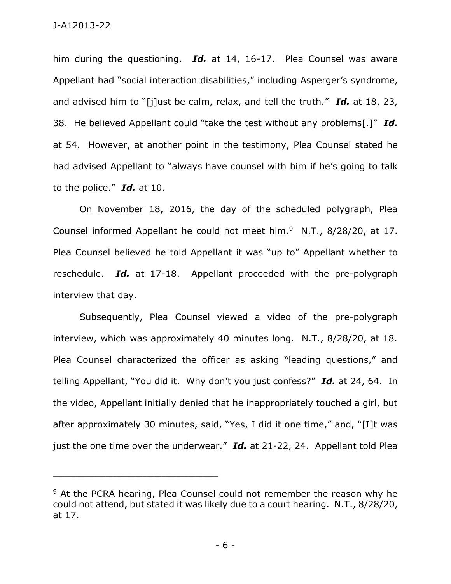him during the questioning. *Id.* at 14, 16-17. Plea Counsel was aware Appellant had "social interaction disabilities," including Asperger's syndrome, and advised him to "[j]ust be calm, relax, and tell the truth." *Id.* at 18, 23, 38. He believed Appellant could "take the test without any problems[.]" *Id.* at 54. However, at another point in the testimony, Plea Counsel stated he had advised Appellant to "always have counsel with him if he's going to talk to the police." *Id.* at 10.

On November 18, 2016, the day of the scheduled polygraph, Plea Counsel informed Appellant he could not meet him. $9$  N.T., 8/28/20, at 17. Plea Counsel believed he told Appellant it was "up to" Appellant whether to reschedule. *Id.* at 17-18. Appellant proceeded with the pre-polygraph interview that day.

Subsequently, Plea Counsel viewed a video of the pre-polygraph interview, which was approximately 40 minutes long. N.T., 8/28/20, at 18. Plea Counsel characterized the officer as asking "leading questions," and telling Appellant, "You did it. Why don't you just confess?" *Id.* at 24, 64. In the video, Appellant initially denied that he inappropriately touched a girl, but after approximately 30 minutes, said, "Yes, I did it one time," and, "[I]t was just the one time over the underwear." *Id.* at 21-22, 24. Appellant told Plea

<sup>&</sup>lt;sup>9</sup> At the PCRA hearing, Plea Counsel could not remember the reason why he could not attend, but stated it was likely due to a court hearing. N.T., 8/28/20, at 17.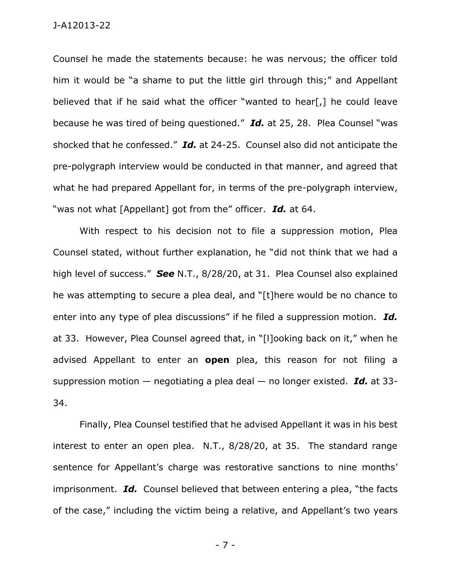Counsel he made the statements because: he was nervous; the officer told him it would be "a shame to put the little girl through this;" and Appellant believed that if he said what the officer "wanted to hear[,] he could leave because he was tired of being questioned." *Id.* at 25, 28. Plea Counsel "was shocked that he confessed." *Id.* at 24-25. Counsel also did not anticipate the pre-polygraph interview would be conducted in that manner, and agreed that what he had prepared Appellant for, in terms of the pre-polygraph interview, "was not what [Appellant] got from the" officer. *Id.* at 64.

With respect to his decision not to file a suppression motion, Plea Counsel stated, without further explanation, he "did not think that we had a high level of success." *See* N.T., 8/28/20, at 31. Plea Counsel also explained he was attempting to secure a plea deal, and "[t]here would be no chance to enter into any type of plea discussions" if he filed a suppression motion. *Id.* at 33. However, Plea Counsel agreed that, in "[l]ooking back on it," when he advised Appellant to enter an **open** plea, this reason for not filing a suppression motion — negotiating a plea deal — no longer existed. *Id.* at 33- 34.

Finally, Plea Counsel testified that he advised Appellant it was in his best interest to enter an open plea. N.T., 8/28/20, at 35. The standard range sentence for Appellant's charge was restorative sanctions to nine months' imprisonment. *Id.* Counsel believed that between entering a plea, "the facts of the case," including the victim being a relative, and Appellant's two years

- 7 -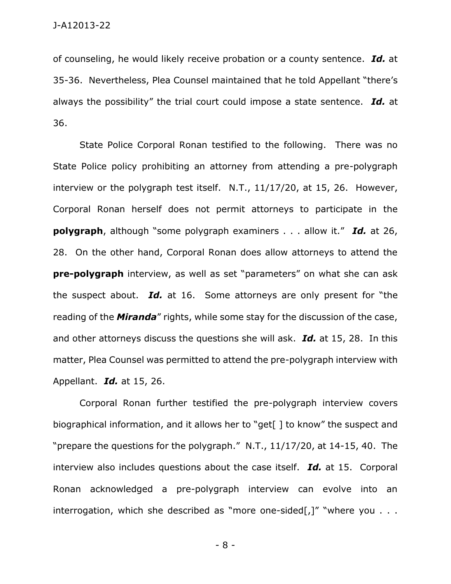of counseling, he would likely receive probation or a county sentence. *Id.* at 35-36. Nevertheless, Plea Counsel maintained that he told Appellant "there's always the possibility" the trial court could impose a state sentence. *Id.* at 36.

State Police Corporal Ronan testified to the following. There was no State Police policy prohibiting an attorney from attending a pre-polygraph interview or the polygraph test itself. N.T., 11/17/20, at 15, 26. However, Corporal Ronan herself does not permit attorneys to participate in the **polygraph**, although "some polygraph examiners . . . allow it." *Id.* at 26, 28. On the other hand, Corporal Ronan does allow attorneys to attend the **pre-polygraph** interview, as well as set "parameters" on what she can ask the suspect about. *Id.* at 16. Some attorneys are only present for "the reading of the *Miranda*" rights, while some stay for the discussion of the case, and other attorneys discuss the questions she will ask. *Id.* at 15, 28. In this matter, Plea Counsel was permitted to attend the pre-polygraph interview with Appellant. *Id.* at 15, 26.

Corporal Ronan further testified the pre-polygraph interview covers biographical information, and it allows her to "get[] to know" the suspect and "prepare the questions for the polygraph." N.T., 11/17/20, at 14-15, 40. The interview also includes questions about the case itself. *Id.* at 15. Corporal Ronan acknowledged a pre-polygraph interview can evolve into an interrogation, which she described as "more one-sided[,]" "where you  $\dots$ 

- 8 -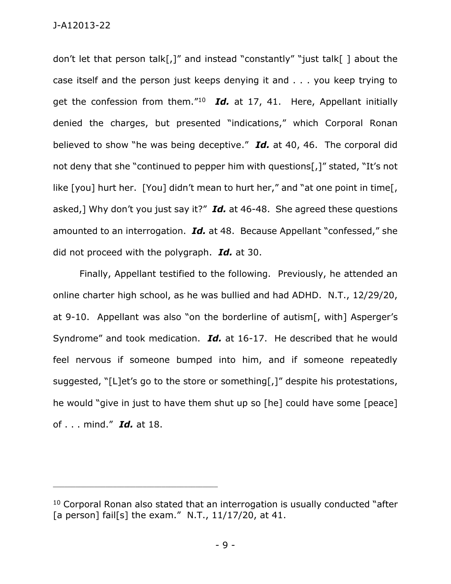don't let that person talk[,]" and instead "constantly" "just talk[ ] about the case itself and the person just keeps denying it and . . . you keep trying to get the confession from them."<sup>10</sup> Id. at 17, 41. Here, Appellant initially denied the charges, but presented "indications," which Corporal Ronan believed to show "he was being deceptive." *Id.* at 40, 46. The corporal did not deny that she "continued to pepper him with questions[,]" stated, "It's not like [you] hurt her. [You] didn't mean to hurt her," and "at one point in time[, asked,] Why don't you just say it?" *Id.* at 46-48. She agreed these questions amounted to an interrogation. *Id.* at 48. Because Appellant "confessed," she did not proceed with the polygraph. *Id.* at 30.

Finally, Appellant testified to the following. Previously, he attended an online charter high school, as he was bullied and had ADHD. N.T., 12/29/20, at 9-10. Appellant was also "on the borderline of autism[, with] Asperger's Syndrome" and took medication. *Id.* at 16-17. He described that he would feel nervous if someone bumped into him, and if someone repeatedly suggested, "[L]et's go to the store or something[,]" despite his protestations, he would "give in just to have them shut up so [he] could have some [peace] of . . . mind." *Id.* at 18.

<sup>&</sup>lt;sup>10</sup> Corporal Ronan also stated that an interrogation is usually conducted "after [a person] fail[s] the exam." N.T., 11/17/20, at 41.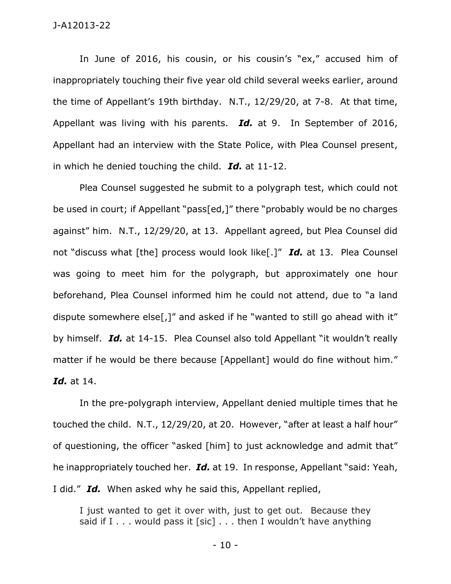#### J-A12013-22

In June of 2016, his cousin, or his cousin's "ex," accused him of inappropriately touching their five year old child several weeks earlier, around the time of Appellant's 19th birthday. N.T., 12/29/20, at 7-8. At that time, Appellant was living with his parents. *Id.* at 9. In September of 2016, Appellant had an interview with the State Police, with Plea Counsel present, in which he denied touching the child. *Id.* at 11-12.

Plea Counsel suggested he submit to a polygraph test, which could not be used in court; if Appellant "pass[ed,]" there "probably would be no charges against" him. N.T., 12/29/20, at 13. Appellant agreed, but Plea Counsel did not "discuss what [the] process would look like[.]" *Id.* at 13. Plea Counsel was going to meet him for the polygraph, but approximately one hour beforehand, Plea Counsel informed him he could not attend, due to "a land dispute somewhere else[,]" and asked if he "wanted to still go ahead with it" by himself. *Id.* at 14-15. Plea Counsel also told Appellant "it wouldn't really matter if he would be there because [Appellant] would do fine without him." *Id.* at 14.

In the pre-polygraph interview, Appellant denied multiple times that he touched the child. N.T., 12/29/20, at 20. However, "after at least a half hour" of questioning, the officer "asked [him] to just acknowledge and admit that" he inappropriately touched her. *Id.* at 19. In response, Appellant "said: Yeah, I did." *Id.* When asked why he said this, Appellant replied,

I just wanted to get it over with, just to get out. Because they said if  $I \ldots$  would pass it [sic]  $\ldots$  then I wouldn't have anything

- 10 -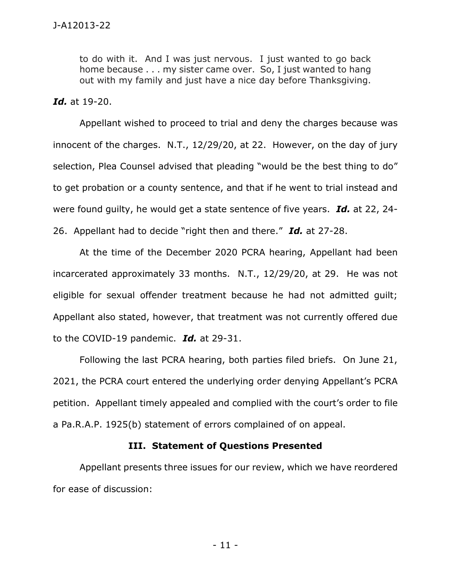to do with it. And I was just nervous. I just wanted to go back home because . . . my sister came over. So, I just wanted to hang out with my family and just have a nice day before Thanksgiving.

#### *Id.* at 19-20.

Appellant wished to proceed to trial and deny the charges because was innocent of the charges. N.T., 12/29/20, at 22. However, on the day of jury selection, Plea Counsel advised that pleading "would be the best thing to do" to get probation or a county sentence, and that if he went to trial instead and were found guilty, he would get a state sentence of five years. *Id.* at 22, 24- 26. Appellant had to decide "right then and there." *Id.* at 27-28.

At the time of the December 2020 PCRA hearing, Appellant had been incarcerated approximately 33 months. N.T., 12/29/20, at 29. He was not eligible for sexual offender treatment because he had not admitted guilt; Appellant also stated, however, that treatment was not currently offered due to the COVID-19 pandemic. *Id.* at 29-31.

Following the last PCRA hearing, both parties filed briefs. On June 21, 2021, the PCRA court entered the underlying order denying Appellant's PCRA petition. Appellant timely appealed and complied with the court's order to file a Pa.R.A.P. 1925(b) statement of errors complained of on appeal.

#### **III. Statement of Questions Presented**

Appellant presents three issues for our review, which we have reordered for ease of discussion: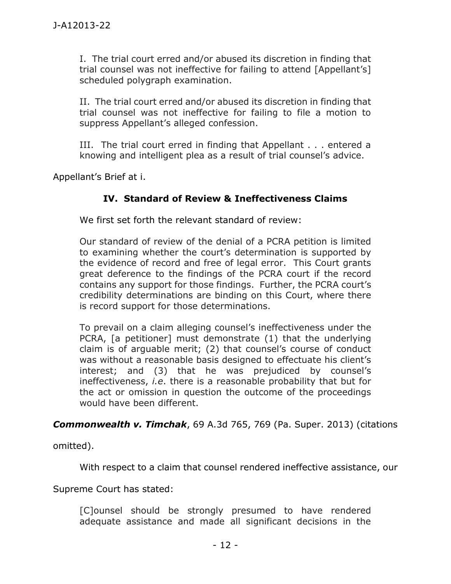I. The trial court erred and/or abused its discretion in finding that trial counsel was not ineffective for failing to attend [Appellant's] scheduled polygraph examination.

II. The trial court erred and/or abused its discretion in finding that trial counsel was not ineffective for failing to file a motion to suppress Appellant's alleged confession.

III. The trial court erred in finding that Appellant . . . entered a knowing and intelligent plea as a result of trial counsel's advice.

Appellant's Brief at i.

# **IV. Standard of Review & Ineffectiveness Claims**

We first set forth the relevant standard of review:

Our standard of review of the denial of a PCRA petition is limited to examining whether the court's determination is supported by the evidence of record and free of legal error. This Court grants great deference to the findings of the PCRA court if the record contains any support for those findings. Further, the PCRA court's credibility determinations are binding on this Court, where there is record support for those determinations.

To prevail on a claim alleging counsel's ineffectiveness under the PCRA, [a petitioner] must demonstrate (1) that the underlying claim is of arguable merit; (2) that counsel's course of conduct was without a reasonable basis designed to effectuate his client's interest; and (3) that he was prejudiced by counsel's ineffectiveness, *i.e*. there is a reasonable probability that but for the act or omission in question the outcome of the proceedings would have been different.

*Commonwealth v. Timchak*, 69 A.3d 765, 769 (Pa. Super. 2013) (citations

omitted).

With respect to a claim that counsel rendered ineffective assistance, our

Supreme Court has stated:

[C]ounsel should be strongly presumed to have rendered adequate assistance and made all significant decisions in the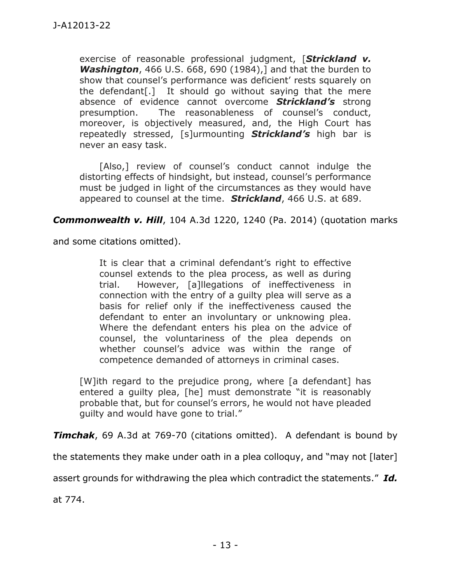exercise of reasonable professional judgment, [*Strickland v. Washington*, 466 U.S. 668, 690 (1984),] and that the burden to show that counsel's performance was deficient' rests squarely on the defendant[.] It should go without saying that the mere absence of evidence cannot overcome *Strickland's* strong presumption. The reasonableness of counsel's conduct, moreover, is objectively measured, and, the High Court has repeatedly stressed, [s]urmounting *Strickland's* high bar is never an easy task.

[Also,] review of counsel's conduct cannot indulge the distorting effects of hindsight, but instead, counsel's performance must be judged in light of the circumstances as they would have appeared to counsel at the time. *Strickland*, 466 U.S. at 689.

*Commonwealth v. Hill*, 104 A.3d 1220, 1240 (Pa. 2014) (quotation marks

and some citations omitted).

It is clear that a criminal defendant's right to effective counsel extends to the plea process, as well as during trial. However, [a]llegations of ineffectiveness in connection with the entry of a guilty plea will serve as a basis for relief only if the ineffectiveness caused the defendant to enter an involuntary or unknowing plea. Where the defendant enters his plea on the advice of counsel, the voluntariness of the plea depends on whether counsel's advice was within the range of competence demanded of attorneys in criminal cases.

[W]ith regard to the prejudice prong, where [a defendant] has entered a guilty plea, [he] must demonstrate "it is reasonably probable that, but for counsel's errors, he would not have pleaded guilty and would have gone to trial."

*Timchak*, 69 A.3d at 769-70 (citations omitted). A defendant is bound by

the statements they make under oath in a plea colloquy, and "may not [later]

assert grounds for withdrawing the plea which contradict the statements." *Id.*

at 774.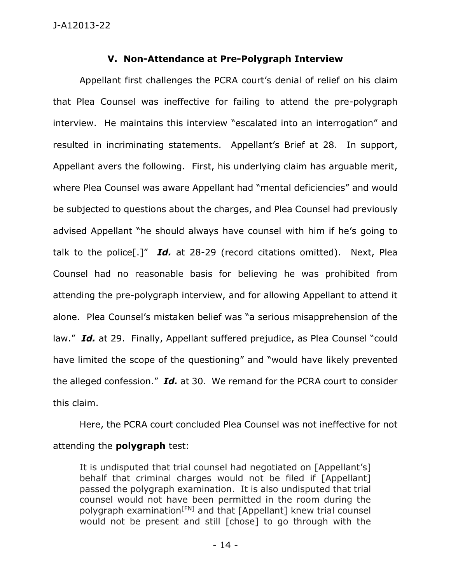# **V. Non-Attendance at Pre-Polygraph Interview**

Appellant first challenges the PCRA court's denial of relief on his claim that Plea Counsel was ineffective for failing to attend the pre-polygraph interview. He maintains this interview "escalated into an interrogation" and resulted in incriminating statements. Appellant's Brief at 28. In support, Appellant avers the following. First, his underlying claim has arguable merit, where Plea Counsel was aware Appellant had "mental deficiencies" and would be subjected to questions about the charges, and Plea Counsel had previously advised Appellant "he should always have counsel with him if he's going to talk to the police[.]" *Id.* at 28-29 (record citations omitted). Next, Plea Counsel had no reasonable basis for believing he was prohibited from attending the pre-polygraph interview, and for allowing Appellant to attend it alone. Plea Counsel's mistaken belief was "a serious misapprehension of the law." *Id.* at 29. Finally, Appellant suffered prejudice, as Plea Counsel "could have limited the scope of the questioning" and "would have likely prevented the alleged confession." *Id.* at 30. We remand for the PCRA court to consider this claim.

Here, the PCRA court concluded Plea Counsel was not ineffective for not attending the **polygraph** test:

It is undisputed that trial counsel had negotiated on [Appellant's] behalf that criminal charges would not be filed if [Appellant] passed the polygraph examination. It is also undisputed that trial counsel would not have been permitted in the room during the polygraph examination<sup>[FN]</sup> and that [Appellant] knew trial counsel would not be present and still [chose] to go through with the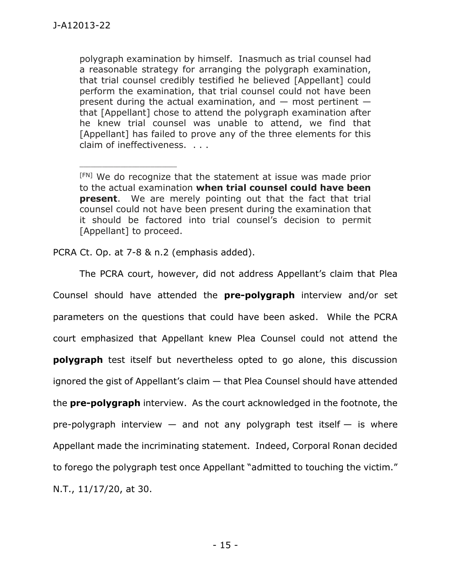polygraph examination by himself. Inasmuch as trial counsel had a reasonable strategy for arranging the polygraph examination, that trial counsel credibly testified he believed [Appellant] could perform the examination, that trial counsel could not have been present during the actual examination, and  $-$  most pertinent  $$ that [Appellant] chose to attend the polygraph examination after he knew trial counsel was unable to attend, we find that [Appellant] has failed to prove any of the three elements for this claim of ineffectiveness. . . .

[FN] We do recognize that the statement at issue was made prior to the actual examination **when trial counsel could have been present**. We are merely pointing out that the fact that trial counsel could not have been present during the examination that it should be factored into trial counsel's decision to permit [Appellant] to proceed.

PCRA Ct. Op. at 7-8 & n.2 (emphasis added).

\_\_\_\_\_\_\_\_\_\_\_\_\_\_\_\_\_\_\_\_\_\_\_\_\_\_

The PCRA court, however, did not address Appellant's claim that Plea Counsel should have attended the **pre-polygraph** interview and/or set parameters on the questions that could have been asked. While the PCRA court emphasized that Appellant knew Plea Counsel could not attend the **polygraph** test itself but nevertheless opted to go alone, this discussion ignored the gist of Appellant's claim — that Plea Counsel should have attended the **pre-polygraph** interview. As the court acknowledged in the footnote, the pre-polygraph interview  $-$  and not any polygraph test itself  $-$  is where Appellant made the incriminating statement. Indeed, Corporal Ronan decided to forego the polygraph test once Appellant "admitted to touching the victim." N.T., 11/17/20, at 30.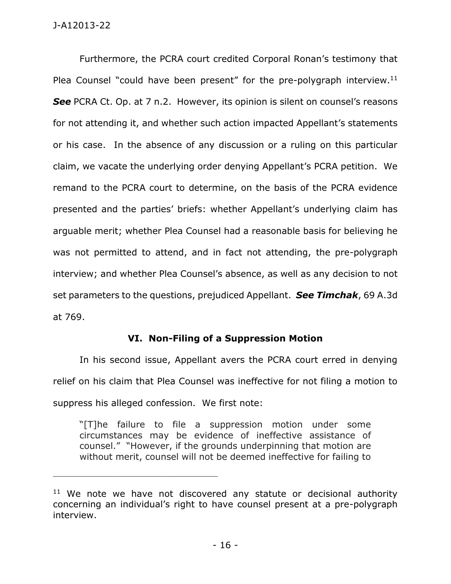## J-A12013-22

Furthermore, the PCRA court credited Corporal Ronan's testimony that Plea Counsel "could have been present" for the pre-polygraph interview.<sup>11</sup> **See** PCRA Ct. Op. at 7 n.2. However, its opinion is silent on counsel's reasons for not attending it, and whether such action impacted Appellant's statements or his case. In the absence of any discussion or a ruling on this particular claim, we vacate the underlying order denying Appellant's PCRA petition. We remand to the PCRA court to determine, on the basis of the PCRA evidence presented and the parties' briefs: whether Appellant's underlying claim has arguable merit; whether Plea Counsel had a reasonable basis for believing he was not permitted to attend, and in fact not attending, the pre-polygraph interview; and whether Plea Counsel's absence, as well as any decision to not set parameters to the questions, prejudiced Appellant. *See Timchak*, 69 A.3d at 769.

# **VI. Non-Filing of a Suppression Motion**

In his second issue, Appellant avers the PCRA court erred in denying relief on his claim that Plea Counsel was ineffective for not filing a motion to suppress his alleged confession. We first note:

"[T]he failure to file a suppression motion under some circumstances may be evidence of ineffective assistance of counsel." "However, if the grounds underpinning that motion are without merit, counsel will not be deemed ineffective for failing to

 $11$  We note we have not discovered any statute or decisional authority concerning an individual's right to have counsel present at a pre-polygraph interview.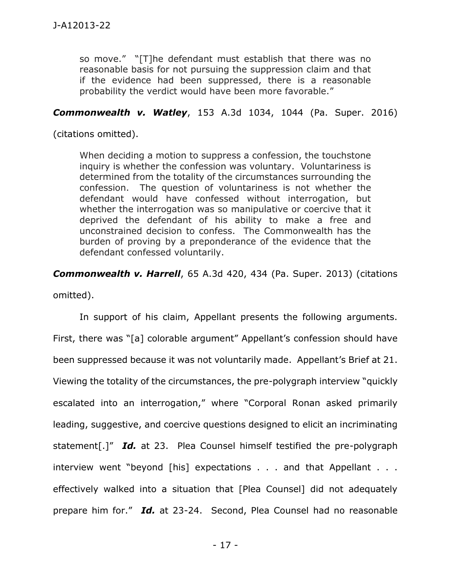so move." "[T]he defendant must establish that there was no reasonable basis for not pursuing the suppression claim and that if the evidence had been suppressed, there is a reasonable probability the verdict would have been more favorable."

## *Commonwealth v. Watley*, 153 A.3d 1034, 1044 (Pa. Super. 2016)

(citations omitted).

When deciding a motion to suppress a confession, the touchstone inquiry is whether the confession was voluntary. Voluntariness is determined from the totality of the circumstances surrounding the confession. The question of voluntariness is not whether the defendant would have confessed without interrogation, but whether the interrogation was so manipulative or coercive that it deprived the defendant of his ability to make a free and unconstrained decision to confess. The Commonwealth has the burden of proving by a preponderance of the evidence that the defendant confessed voluntarily.

*Commonwealth v. Harrell*, 65 A.3d 420, 434 (Pa. Super. 2013) (citations

omitted).

In support of his claim, Appellant presents the following arguments. First, there was "[a] colorable argument" Appellant's confession should have been suppressed because it was not voluntarily made. Appellant's Brief at 21. Viewing the totality of the circumstances, the pre-polygraph interview "quickly escalated into an interrogation," where "Corporal Ronan asked primarily leading, suggestive, and coercive questions designed to elicit an incriminating statement[.]" *Id.* at 23. Plea Counsel himself testified the pre-polygraph interview went "beyond [his] expectations . . . and that Appellant . . . effectively walked into a situation that [Plea Counsel] did not adequately prepare him for." *Id.* at 23-24. Second, Plea Counsel had no reasonable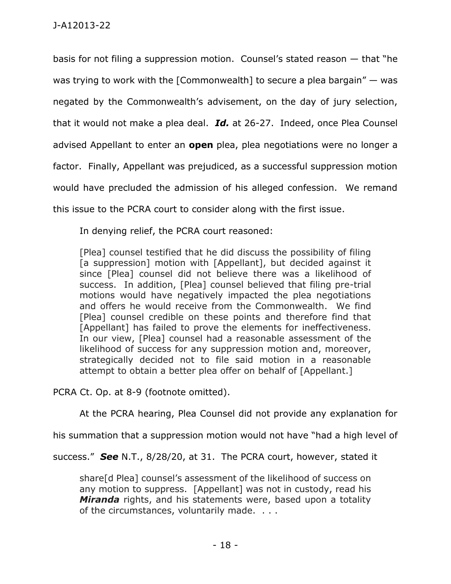basis for not filing a suppression motion. Counsel's stated reason — that "he was trying to work with the [Commonwealth] to secure a plea bargain" — was negated by the Commonwealth's advisement, on the day of jury selection, that it would not make a plea deal. *Id.* at 26-27. Indeed, once Plea Counsel advised Appellant to enter an **open** plea, plea negotiations were no longer a factor. Finally, Appellant was prejudiced, as a successful suppression motion would have precluded the admission of his alleged confession. We remand this issue to the PCRA court to consider along with the first issue.

In denying relief, the PCRA court reasoned:

[Plea] counsel testified that he did discuss the possibility of filing [a suppression] motion with [Appellant], but decided against it since [Plea] counsel did not believe there was a likelihood of success. In addition, [Plea] counsel believed that filing pre-trial motions would have negatively impacted the plea negotiations and offers he would receive from the Commonwealth. We find [Plea] counsel credible on these points and therefore find that [Appellant] has failed to prove the elements for ineffectiveness. In our view, [Plea] counsel had a reasonable assessment of the likelihood of success for any suppression motion and, moreover, strategically decided not to file said motion in a reasonable attempt to obtain a better plea offer on behalf of [Appellant.]

PCRA Ct. Op. at 8-9 (footnote omitted).

At the PCRA hearing, Plea Counsel did not provide any explanation for

his summation that a suppression motion would not have "had a high level of

success." *See* N.T., 8/28/20, at 31. The PCRA court, however, stated it

share[d Plea] counsel's assessment of the likelihood of success on any motion to suppress. [Appellant] was not in custody, read his *Miranda* rights, and his statements were, based upon a totality of the circumstances, voluntarily made. . . .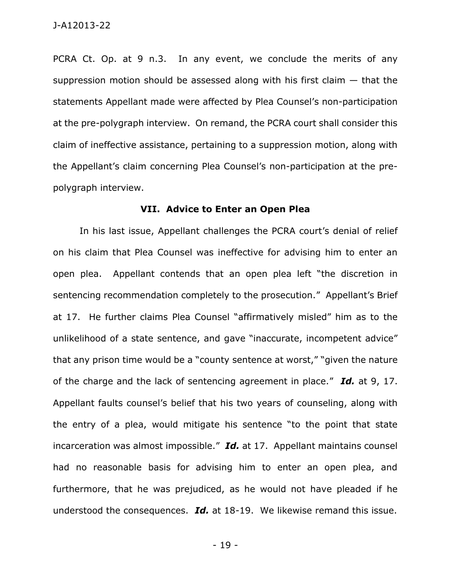PCRA Ct. Op. at 9 n.3. In any event, we conclude the merits of any suppression motion should be assessed along with his first claim  $-$  that the statements Appellant made were affected by Plea Counsel's non-participation at the pre-polygraph interview. On remand, the PCRA court shall consider this claim of ineffective assistance, pertaining to a suppression motion, along with the Appellant's claim concerning Plea Counsel's non-participation at the prepolygraph interview.

## **VII. Advice to Enter an Open Plea**

In his last issue, Appellant challenges the PCRA court's denial of relief on his claim that Plea Counsel was ineffective for advising him to enter an open plea. Appellant contends that an open plea left "the discretion in sentencing recommendation completely to the prosecution." Appellant's Brief at 17. He further claims Plea Counsel "affirmatively misled" him as to the unlikelihood of a state sentence, and gave "inaccurate, incompetent advice" that any prison time would be a "county sentence at worst," "given the nature of the charge and the lack of sentencing agreement in place." *Id.* at 9, 17. Appellant faults counsel's belief that his two years of counseling, along with the entry of a plea, would mitigate his sentence "to the point that state incarceration was almost impossible." *Id.* at 17. Appellant maintains counsel had no reasonable basis for advising him to enter an open plea, and furthermore, that he was prejudiced, as he would not have pleaded if he understood the consequences. *Id.* at 18-19. We likewise remand this issue.

- 19 -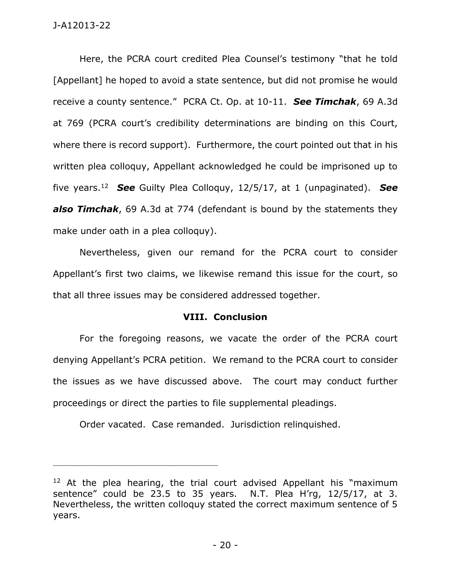Here, the PCRA court credited Plea Counsel's testimony "that he told [Appellant] he hoped to avoid a state sentence, but did not promise he would receive a county sentence." PCRA Ct. Op. at 10-11. *See Timchak*, 69 A.3d at 769 (PCRA court's credibility determinations are binding on this Court, where there is record support). Furthermore, the court pointed out that in his written plea colloquy, Appellant acknowledged he could be imprisoned up to five years.<sup>12</sup> *See* Guilty Plea Colloquy, 12/5/17, at 1 (unpaginated). *See also Timchak*, 69 A.3d at 774 (defendant is bound by the statements they make under oath in a plea colloquy).

Nevertheless, given our remand for the PCRA court to consider Appellant's first two claims, we likewise remand this issue for the court, so that all three issues may be considered addressed together.

### **VIII. Conclusion**

For the foregoing reasons, we vacate the order of the PCRA court denying Appellant's PCRA petition. We remand to the PCRA court to consider the issues as we have discussed above. The court may conduct further proceedings or direct the parties to file supplemental pleadings.

Order vacated. Case remanded. Jurisdiction relinquished.

 $12$  At the plea hearing, the trial court advised Appellant his "maximum sentence" could be 23.5 to 35 years. N.T. Plea H'rg, 12/5/17, at 3. Nevertheless, the written colloquy stated the correct maximum sentence of 5 years.